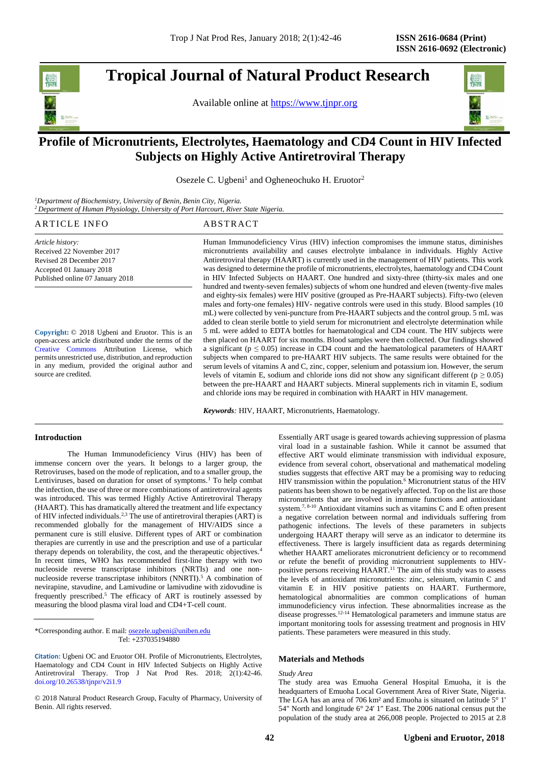# **Tropical Journal of Natural Product Research**

Available online at [https://www.tjnpr.org](https://www.tjnpr.org/)



# . **Profile of Micronutrients, Electrolytes, Haematology and CD4 Count in HIV Infected Subjects on Highly Active Antiretroviral Therapy**

Osezele C. Ugbeni<sup>1</sup> and Ogheneochuko H. Eruotor<sup>2</sup>

*<sup>1</sup>Department of Biochemistry, University of Benin, Benin City, Nigeria. <sup>2</sup>Department of Human Physiology, University of Port Harcourt, River State Nigeria.*

# ARTICLE INFO ABSTRACT

*Article history:* Received 22 November 2017 Revised 28 December 2017 Accepted 01 January 2018 Published online 07 January 2018

**Copyright:** © 2018 Ugbeni and Eruotor. This is an open-access article distributed under the terms of the [Creative Commons](https://creativecommons.org/licenses/by/4.0/) Attribution License, which permits unrestricted use, distribution, and reproduction in any medium, provided the original author and source are credited.

Human Immunodeficiency Virus (HIV) infection compromises the immune status, diminishes micronutrients availability and causes electrolyte imbalance in individuals. Highly Active Antiretroviral therapy (HAART) is currently used in the management of HIV patients. This work was designed to determine the profile of micronutrients, electrolytes, haematology and CD4 Count in HIV Infected Subjects on HAART. One hundred and sixty-three (thirty-six males and one hundred and twenty-seven females) subjects of whom one hundred and eleven (twenty-five males and eighty-six females) were HIV positive (grouped as Pre-HAART subjects). Fifty-two (eleven males and forty-one females) HIV- negative controls were used in this study. Blood samples (10) mL) were collected by veni-puncture from Pre-HAART subjects and the control group. 5 mL was added to clean sterile bottle to yield serum for micronutrient and electrolyte determination while 5 mL were added to EDTA bottles for haematological and CD4 count. The HIV subjects were then placed on HAART for six months. Blood samples were then collected. Our findings showed a significant ( $p \le 0.05$ ) increase in CD4 count and the haematological parameters of HAART subjects when compared to pre-HAART HIV subjects. The same results were obtained for the serum levels of vitamins A and C, zinc, copper, selenium and potassium ion. However, the serum levels of vitamin E, sodium and chloride ions did not show any significant different ( $p \ge 0.05$ ) between the pre-HAART and HAART subjects. Mineral supplements rich in vitamin E, sodium and chloride ions may be required in combination with HAART in HIV management.

*Keywords:* HIV, HAART, Micronutrients, Haematology.

# **Introduction**

The Human Immunodeficiency Virus (HIV) has been of immense concern over the years. It belongs to a larger group, the Retroviruses, based on the mode of replication, and to a smaller group, the Lentiviruses, based on duration for onset of symptoms.<sup>1</sup> To help combat the infection, the use of three or more combinations of antiretroviral agents was introduced. This was termed Highly Active Antiretroviral Therapy (HAART). This has dramatically altered the treatment and life expectancy of HIV infected individuals.<sup>2,3</sup> The use of antiretroviral therapies (ART) is recommended globally for the management of HIV/AIDS since a permanent cure is still elusive. Different types of ART or combination therapies are currently in use and the prescription and use of a particular therapy depends on tolerability, the cost, and the therapeutic objectives.<sup>4</sup> In recent times, WHO has recommended first-line therapy with two nucleoside reverse transcriptase inhibitors (NRTIs) and one nonnucleoside reverse transcriptase inhibitors (NNRTI). <sup>5</sup> A combination of nevirapine, stavudine, and Lamivudine or lamivudine with zidovudine is frequently prescribed. <sup>5</sup> The efficacy of ART is routinely assessed by measuring the blood plasma viral load and CD4+T-cell count.

\*Corresponding author. E mail[: osezele.ugbeni@uniben.edu](mailto:osezele.ugbeni@uniben.edu) Tel: +237035194880

© 2018 Natural Product Research Group, Faculty of Pharmacy, University of Benin. All rights reserved.

Essentially ART usage is geared towards achieving suppression of plasma viral load in a sustainable fashion. While it cannot be assumed that effective ART would eliminate transmission with individual exposure, evidence from several cohort, observational and mathematical modeling studies suggests that effective ART may be a promising way to reducing HIV transmission within the population. <sup>6</sup> Micronutrient status of the HIV patients has been shown to be negatively affected. Top on the list are those micronutrients that are involved in immune functions and antioxidant system.<sup>7, 8-10</sup> Antioxidant vitamins such as vitamins C and E often present a negative correlation between normal and individuals suffering from pathogenic infections. The levels of these parameters in subjects undergoing HAART therapy will serve as an indicator to determine its effectiveness. There is largely insufficient data as regards determining whether HAART ameliorates micronutrient deficiency or to recommend or refute the benefit of providing micronutrient supplements to HIVpositive persons receiving HAART.<sup>11</sup> The aim of this study was to assess the levels of antioxidant micronutrients: zinc, selenium, vitamin C and vitamin E in HIV positive patients on HAART. Furthermore, hematological abnormalities are common complications of human immunodeficiency virus infection. These abnormalities increase as the disease progresses.<sup>12-14</sup> Hematological parameters and immune status are important monitoring tools for assessing treatment and prognosis in HIV patients. These parameters were measured in this study.

# **Materials and Methods**

### *Study Area*

The study area was Emuoha General Hospital Emuoha, it is the headquarters of Emuoha Local Government Area of River State, Nigeria. The LGA has an area of 706 km² and Emuoha is situated on latitude 5° 1' 54" North and longitude 6° 24' 1" East. The 2006 national census put the population of the study area at 266,008 people. Projected to 2015 at 2.8

**Citation:** Ugbeni OC and Eruotor OH. Profile of Micronutrients, Electrolytes, Haematology and CD4 Count in HIV Infected Subjects on Highly Active Antiretroviral Therapy. Trop J Nat Prod Res. 2018; 2(1):42-46. [doi.org/10.26538/tjnpr/v2i1.9](http://www.doi.org/10.26538/tjnpr/v1i4.5)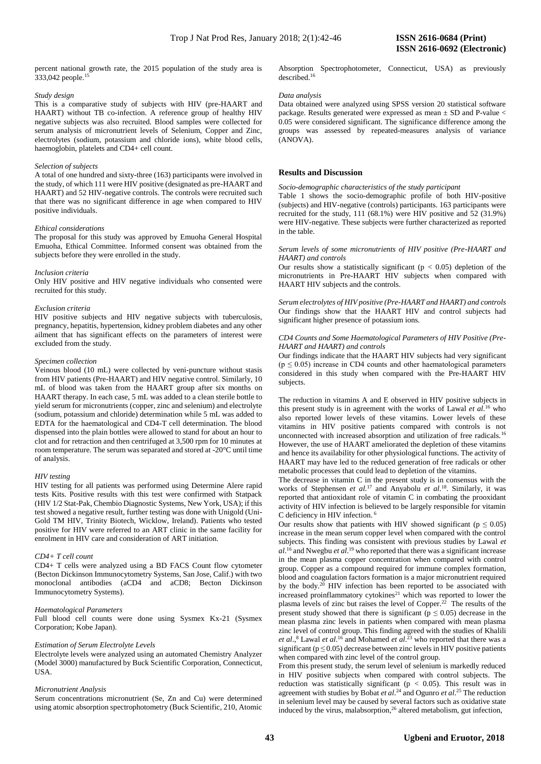percent national growth rate, the 2015 population of the study area is 333,042 people.<sup>15</sup>

### *Study design*

This is a comparative study of subjects with HIV (pre-HAART and HAART) without TB co-infection. A reference group of healthy HIV negative subjects was also recruited. Blood samples were collected for serum analysis of micronutrient levels of Selenium, Copper and Zinc, electrolytes (sodium, potassium and chloride ions), white blood cells, haemoglobin, platelets and CD4+ cell count.

### *Selection of subjects*

A total of one hundred and sixty-three (163) participants were involved in the study, of which 111 were HIV positive (designated as pre-HAART and HAART) and 52 HIV-negative controls. The controls were recruited such that there was no significant difference in age when compared to HIV positive individuals.

### *Ethical considerations*

The proposal for this study was approved by Emuoha General Hospital Emuoha, Ethical Committee. Informed consent was obtained from the subjects before they were enrolled in the study.

### *Inclusion criteria*

Only HIV positive and HIV negative individuals who consented were recruited for this study.

### *Exclusion criteria*

HIV positive subjects and HIV negative subjects with tuberculosis, pregnancy, hepatitis, hypertension, kidney problem diabetes and any other ailment that has significant effects on the parameters of interest were excluded from the study.

### *Specimen collection*

Veinous blood (10 mL) were collected by veni-puncture without stasis from HIV patients (Pre-HAART) and HIV negative control. Similarly, 10 mL of blood was taken from the HAART group after six months on HAART therapy. In each case, 5 mL was added to a clean sterile bottle to yield serum for micronutrients (copper, zinc and selenium) and electrolyte (sodium, potassium and chloride) determination while 5 mL was added to EDTA for the haematological and CD4-T cell determination. The blood dispensed into the plain bottles were allowed to stand for about an hour to clot and for retraction and then centrifuged at 3,500 rpm for 10 minutes at room temperature. The serum was separated and stored at -20°C until time of analysis.

### *HIV testing*

HIV testing for all patients was performed using Determine Alere rapid tests Kits. Positive results with this test were confirmed with Statpack (HIV 1/2 Stat-Pak, Chembio Diagnostic Systems, New York, USA); if this test showed a negative result, further testing was done with Unigold (Uni-Gold TM HIV, Trinity Biotech, Wicklow, Ireland). Patients who tested positive for HIV were referred to an ART clinic in the same facility for enrolment in HIV care and consideration of ART initiation.

#### *CD4+ T cell count*

CD4+ T cells were analyzed using a BD FACS Count flow cytometer (Becton Dickinson Immunocytometry Systems, San Jose, Calif.) with two monoclonal antibodies (aCD4 and aCD8; Becton Dickinson Immunocytometry Systems).

# *Haematological Parameters*

Full blood cell counts were done using Sysmex Kx-21 (Sysmex Corporation; Kobe Japan).

### *Estimation of Serum Electrolyte Levels*

Electrolyte levels were analyzed using an automated Chemistry Analyzer (Model 3000) manufactured by Buck Scientific Corporation, Connecticut, USA.

### *Micronutrient Analysis*

Serum concentrations micronutrient (Se, Zn and Cu) were determined using atomic absorption spectrophotometry (Buck Scientific, 210, Atomic Absorption Spectrophotometer, Connecticut, USA) as previously described. 16

### *Data analysis*

Data obtained were analyzed using SPSS version 20 statistical software package. Results generated were expressed as mean ± SD and P-value < 0.05 were considered significant. The significance difference among the groups was assessed by repeated-measures analysis of variance (ANOVA).

# **Results and Discussion**

## *Socio-demographic characteristics of the study participant*

Table 1 shows the socio-demographic profile of both HIV-positive (subjects) and HIV-negative (controls) participants. 163 participants were recruited for the study, 111 (68.1%) were HIV positive and 52 (31.9%) were HIV-negative. These subjects were further characterized as reported in the table.

### *Serum levels of some micronutrients of HIV positive (Pre-HAART and HAART) and controls*

Our results show a statistically significant ( $p < 0.05$ ) depletion of the micronutrients in Pre-HAART HIV subjects when compared with HAART HIV subjects and the controls.

*Serum electrolytes of HIV positive (Pre-HAART and HAART) and controls* Our findings show that the HAART HIV and control subjects had significant higher presence of potassium ions.

### *CD4 Counts and Some Haematological Parameters of HIV Positive (Pre-HAART and HAART) and controls*

Our findings indicate that the HAART HIV subjects had very significant  $(p \le 0.05)$  increase in CD4 counts and other haematological parameters considered in this study when compared with the Pre-HAART HIV subjects.

The reduction in vitamins A and E observed in HIV positive subjects in this present study is in agreement with the works of Lawal *et al*. <sup>16</sup> who also reported lower levels of these vitamins. Lower levels of these vitamins in HIV positive patients compared with controls is not unconnected with increased absorption and utilization of free radicals.<sup>16</sup> However, the use of HAART ameliorated the depletion of these vitamins and hence its availability for other physiological functions. The activity of HAART may have led to the reduced generation of free radicals or other metabolic processes that could lead to depletion of the vitamins.

The decrease in vitamin C in the present study is in consensus with the works of Stephensen *et al*. <sup>17</sup> and Anyabolu *et al*. 18 . Similarly, it was reported that antioxidant role of vitamin C in combating the prooxidant activity of HIV infection is believed to be largely responsible for vitamin C deficiency in HIV infection. <sup>6</sup>

Our results show that patients with HIV showed significant ( $p \le 0.05$ ) increase in the mean serum copper level when compared with the control subjects. This finding was consistent with previous studies by Lawal *et al*. <sup>16</sup> and Nwegbu *et al*. <sup>19</sup> who reported that there was a significant increase in the mean plasma copper concentration when compared with control group. Copper as a compound required for immune complex formation, blood and coagulation factors formation is a major micronutrient required by the body.<sup>20</sup> HIV infection has been reported to be associated with increased proinflammatory cytokines<sup>21</sup> which was reported to lower the plasma levels of zinc but raises the level of Copper. <sup>22</sup> The results of the present study showed that there is significant ( $p \le 0.05$ ) decrease in the mean plasma zinc levels in patients when compared with mean plasma zinc level of control group. This finding agreed with the studies of Khalili *et al*., <sup>8</sup> Lawal *et al*. <sup>16</sup> and Mohamed *et al*. <sup>23</sup> who reported that there was a significant ( $p \le 0.05$ ) decrease between zinc levels in HIV positive patients when compared with zinc level of the control group.

From this present study, the serum level of selenium is markedly reduced in HIV positive subjects when compared with control subjects. The reduction was statistically significant ( $p < 0.05$ ). This result was in agreement with studies by Bobat *et al*. <sup>24</sup> and Ogunro *et al*. <sup>25</sup> The reduction in selenium level may be caused by several factors such as oxidative state induced by the virus, malabsorption, <sup>26</sup> altered metabolism, gut infection,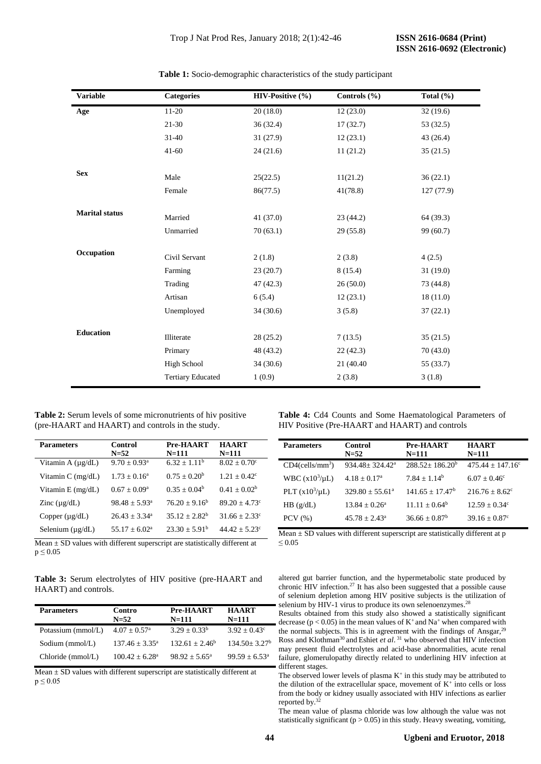| <b>Variable</b>       | <b>Categories</b>        | HIV-Positive (%) | Controls $(\% )$ | Total $(\% )$ |
|-----------------------|--------------------------|------------------|------------------|---------------|
| Age                   | $11-20$                  | 20(18.0)         | 12(23.0)         | 32(19.6)      |
|                       | $21 - 30$                | 36(32.4)         | 17(32.7)         | 53 (32.5)     |
|                       | $31 - 40$                | 31(27.9)         | 12(23.1)         | 43 (26.4)     |
|                       | $41 - 60$                | 24(21.6)         | 11(21.2)         | 35(21.5)      |
|                       |                          |                  |                  |               |
| <b>Sex</b>            | Male                     | 25(22.5)         | 11(21.2)         | 36(22.1)      |
|                       | Female                   | 86(77.5)         | 41(78.8)         | 127(77.9)     |
| <b>Marital status</b> |                          |                  |                  |               |
|                       | Married                  | 41(37.0)         | 23(44.2)         | 64 (39.3)     |
|                       | Unmarried                | 70(63.1)         | 29(55.8)         | 99 (60.7)     |
| Occupation            |                          |                  |                  |               |
|                       | Civil Servant            | 2(1.8)           | 2(3.8)           | 4(2.5)        |
|                       | Farming                  | 23(20.7)         | 8(15.4)          | 31(19.0)      |
|                       | Trading                  | 47(42.3)         | 26(50.0)         | 73 (44.8)     |
|                       | Artisan                  | 6(5.4)           | 12(23.1)         | 18(11.0)      |
|                       | Unemployed               | 34(30.6)         | 3(5.8)           | 37(22.1)      |
|                       |                          |                  |                  |               |
| <b>Education</b>      | Illiterate               | 28(25.2)         | 7(13.5)          | 35(21.5)      |
|                       | Primary                  | 48 (43.2)        | 22(42.3)         | 70(43.0)      |
|                       | <b>High School</b>       | 34(30.6)         | 21 (40.40)       | 55 (33.7)     |
|                       | <b>Tertiary Educated</b> | 1(0.9)           | 2(3.8)           | 3(1.8)        |

**Table 1:** Socio-demographic characteristics of the study participant

**Table 2:** Serum levels of some micronutrients of hiv positive (pre-HAART and HAART) and controls in the study.

| <b>Parameters</b>      | Control<br>$N = 52$        | Pre-HAART<br>N=111 | <b>HAART</b><br>$N = 111$    |
|------------------------|----------------------------|--------------------|------------------------------|
| Vitamin A $(\mu g/dL)$ | $9.70 \pm 0.93^{\text{a}}$ | $6.32 + 1.11^b$    | $8.02 \pm 0.70$ <sup>c</sup> |
| Vitamin $C$ (mg/dL)    | $1.73 + 0.16^a$            | $0.75 + 0.20^b$    | $1.21 + 0.42^{\circ}$        |
| Vitamin $E$ (mg/dL)    | $0.67 + 0.09^{\circ}$      | $0.35 + 0.04^b$    | $0.41 + 0.02^b$              |
| Zinc $(\mu g/dL)$      | $98.48 \pm 5.93^{\circ}$   | $76.20 + 9.16^b$   | $89.20 + 4.73$ <sup>c</sup>  |
| Copper $(\mu g/dL)$    | $26.43 \pm 3.34^{\circ}$   | $35.12 + 2.82^b$   | $31.66 + 2.33^{\circ}$       |
| Selenium $(\mu g/dL)$  | $55.17 + 6.02^a$           | $23.30 + 5.91b$    | $44.42 + 5.23^{\circ}$       |
|                        |                            |                    |                              |

Mean  $\pm$  SD values with different superscript are statistically different at  $p \leq 0.05$ 

**Table 3:** Serum electrolytes of HIV positive (pre-HAART and HAART) and controls.

| <b>Parameters</b>  | Contro<br>$N=52$             | Pre-HAART<br>N=111     | <b>HAART</b><br>$N = 111$      |
|--------------------|------------------------------|------------------------|--------------------------------|
| Potassium (mmol/L) | $4.07 \pm 0.57$ <sup>a</sup> | $3.29 + 0.33^b$        | $3.92 + 0.43^{\circ}$          |
| Sodium (mmol/L)    | $137.46 + 3.35^a$            | $132.61 \pm 2.46^b$    | $134.50 \pm 3.27$ <sup>b</sup> |
| Chloride (mmol/L)  | $100.42 + 6.28$ <sup>a</sup> | $98.92 + 5.65^{\circ}$ | $99.59 + 6.53^{\circ}$         |

Mean  $\pm$  SD values with different superscript are statistically different at  $p \leq 0.05$ 

**Table 4:** Cd4 Counts and Some Haematological Parameters of HIV Positive (Pre-HAART and HAART) and controls

| <b>Parameters</b>              | Control<br>$N = 52$            | Pre-HAART<br>$N = 111$ | <b>HAART</b><br>$N = 111$        |
|--------------------------------|--------------------------------|------------------------|----------------------------------|
| $CD4$ (cells/mm <sup>3</sup> ) | $934.48 \pm 324.42^{\text{a}}$ | $288.52 + 186.20^b$    | $475.44 \pm 147.16$ <sup>c</sup> |
| WBC $(x10^3/\mu L)$            | $4.18 + 0.17a$                 | $7.84 + 1.14^b$        | $6.07 + 0.46^{\circ}$            |
| PLT $(x10^3/\mu L)$            | $329.80 + 55.61^{\circ}$       | $141.65 + 17.47^b$     | $216.76 + 8.62^{\circ}$          |
| $HB$ (g/dL)                    | $13.84 \pm 0.26^a$             | $11.11 \pm 0.64^b$     | $12.59 + 0.34^{\circ}$           |
| $PCV$ $(\% )$                  | $45.78 + 2.43^{\circ}$         | $36.66 + 0.87^b$       | $39.16 + 0.87$ <sup>c</sup>      |
|                                |                                |                        |                                  |

Mean  $\pm$  SD values with different superscript are statistically different at p ≤ 0.05

altered gut barrier function, and the hypermetabolic state produced by chronic HIV infection.<sup>27</sup> It has also been suggested that a possible cause of selenium depletion among HIV positive subjects is the utilization of selenium by HIV-1 virus to produce its own selenoenzymes.<sup>28</sup>

Results obtained from this study also showed a statistically significant decrease ( $p < 0.05$ ) in the mean values of K<sup>+</sup> and Na<sup>+</sup> when compared with the normal subjects. This is in agreement with the findings of Ansgar,  $29$ Ross and Klothman<sup>30</sup> and Eshiet *et al*.<sup>31</sup> who observed that HIV infection may present fluid electrolytes and acid-base abnormalities, acute renal failure, glomerulopathy directly related to underlining HIV infection at different stages.

The observed lower levels of plasma  $K^+$  in this study may be attributed to the dilution of the extracellular space, movement of  $K^+$  into cells or loss from the body or kidney usually associated with HIV infections as earlier reported by. 32

The mean value of plasma chloride was low although the value was not statistically significant ( $p > 0.05$ ) in this study. Heavy sweating, vomiting,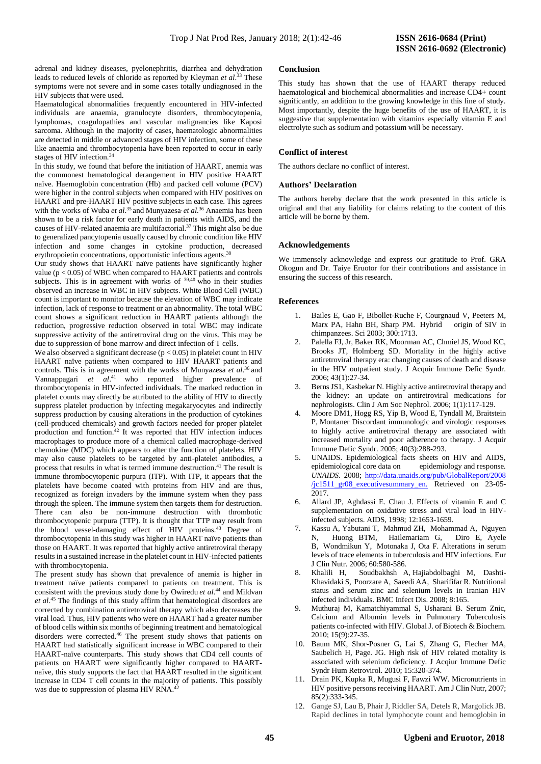adrenal and kidney diseases, pyelonephritis, diarrhea and dehydration leads to reduced levels of chloride as reported by Kleyman *et al*. <sup>33</sup> These symptoms were not severe and in some cases totally undiagnosed in the HIV subjects that were used.

Haematological abnormalities frequently encountered in HIV-infected individuals are anaemia, granulocyte disorders, thrombocytopenia, lymphomas, coagulopathies and vascular malignancies like Kaposi sarcoma. Although in the majority of cases, haematologic abnormalities are detected in middle or advanced stages of HIV infection, some of these like anaemia and thrombocytopenia have been reported to occur in early stages of HIV infection. 34

In this study, we found that before the initiation of HAART, anemia was the commonest hematological derangement in HIV positive HAART naïve. Haemoglobin concentration (Hb) and packed cell volume (PCV) were higher in the control subjects when compared with HIV positives on HAART and pre-HAART HIV positive subjects in each case. This agrees with the works of Wuba *et al.*<sup>35</sup> and Munyazesa<sup>,</sup> et al.<sup>36</sup> Anaemia has been shown to be a risk factor for early death in patients with AIDS, and the causes of HIV-related anaemia are multifactorial. <sup>37</sup> This might also be due to generalized pancytopenia usually caused by chronic condition like HIV infection and some changes in cytokine production, decreased erythropoietin concentrations, opportunistic infectious agents.<sup>38</sup>

Our study shows that HAART naïve patients have significantly higher value ( $p < 0.05$ ) of WBC when compared to HAART patients and controls subjects. This is in agreement with works of  $39,40$  who in their studies observed an increase in WBC in HIV subjects. White Blood Cell (WBC) count is important to monitor because the elevation of WBC may indicate infection, lack of response to treatment or an abnormality. The total WBC count shows a significant reduction in HAART patients although the reduction, progressive reduction observed in total WBC may indicate suppressive activity of the antiretroviral drug on the virus. This may be due to suppression of bone marrow and direct infection of T cells.

We also observed a significant decrease  $(p < 0.05)$  in platelet count in HIV HAART naïve patients when compared to HIV HAART patients and controls. This is in agreement with the works of Munyazesa *et al*. <sup>36</sup>and Vannappagari et al.<sup>41</sup> who reported higher prevalence of thrombocytopenia in HIV-infected individuals. The marked reduction in platelet counts may directly be attributed to the ability of HIV to directly suppress platelet production by infecting megakaryocytes and indirectly suppress production by causing alterations in the production of cytokines (cell-produced chemicals) and growth factors needed for proper platelet production and function. <sup>42</sup> It was reported that HIV infection induces macrophages to produce more of a chemical called macrophage-derived chemokine (MDC) which appears to alter the function of platelets. HIV may also cause platelets to be targeted by anti-platelet antibodies, a process that results in what is termed immune destruction. <sup>41</sup> The result is immune thrombocytopenic purpura (ITP). With ITP, it appears that the platelets have become coated with proteins from HIV and are thus, recognized as foreign invaders by the immune system when they pass through the spleen. The immune system then targets them for destruction. There can also be non-immune destruction with thrombotic thrombocytopenic purpura (TTP). It is thought that TTP may result from the blood vessel-damaging effect of HIV proteins. <sup>43</sup> Degree of thrombocytopenia in this study was higher in HAART naïve patients than those on HAART. It was reported that highly active antiretroviral therapy results in a sustained increase in the platelet count in HIV-infected patients with thrombocytopenia.

The present study has shown that prevalence of anemia is higher in treatment naïve patients compared to patients on treatment. This is consistent with the previous study done by Owiredu *et al*. <sup>44</sup> and Mildvan *et al*. <sup>45</sup> The findings of this study affirm that hematological disorders are corrected by combination antiretroviral therapy which also decreases the viral load. Thus, HIV patients who were on HAART had a greater number of blood cells within six months of beginning treatment and hematological disorders were corrected. <sup>46</sup> The present study shows that patients on HAART had statistically significant increase in WBC compared to their HAART-naïve counterparts. This study shows that CD4 cell counts of patients on HAART were significantly higher compared to HAARTnaïve, this study supports the fact that HAART resulted in the significant increase in CD4 T cell counts in the majority of patients. This possibly was due to suppression of plasma HIV RNA.<sup>42</sup>

# **Conclusion**

This study has shown that the use of HAART therapy reduced haematological and biochemical abnormalities and increase CD4+ count significantly, an addition to the growing knowledge in this line of study. Most importantly, despite the huge benefits of the use of HAART, it is suggestive that supplementation with vitamins especially vitamin E and electrolyte such as sodium and potassium will be necessary.

# **Conflict of interest**

The authors declare no conflict of interest.

# **Authors' Declaration**

The authors hereby declare that the work presented in this article is original and that any liability for claims relating to the content of this article will be borne by them.

# **Acknowledgements**

We immensely acknowledge and express our gratitude to Prof. GRA Okogun and Dr. Taiye Eruotor for their contributions and assistance in ensuring the success of this research.

# **References**

- 1. Bailes E, Gao F, Bibollet-Ruche F, Courgnaud V, Peeters M, Marx PA, Hahn BH, Sharp PM. Hybrid origin of SIV in chimpanzees. Sci 2003; 300:1713.
- 2. Palella FJ, Jr, Baker RK, Moorman AC, Chmiel JS, Wood KC, Brooks JT, [Holmberg SD.](https://www.ncbi.nlm.nih.gov/pubmed/?term=Holmberg%20SD%5BAuthor%5D&cauthor=true&cauthor_uid=16878047) Mortality in the highly active antiretroviral therapy era: changing causes of death and disease in the HIV outpatient study. [J Acquir Immune Defic Syndr.](https://www.ncbi.nlm.nih.gov/pubmed/16878047) 2006; 43(1):27-34.
- [Berns JS1](https://www.ncbi.nlm.nih.gov/pubmed/?term=Berns%20JS%5BAuthor%5D&cauthor=true&cauthor_uid=17699198), [Kasbekar N.](https://www.ncbi.nlm.nih.gov/pubmed/?term=Kasbekar%20N%5BAuthor%5D&cauthor=true&cauthor_uid=17699198) Highly active antiretroviral therapy and the kidney: an update on antiretroviral medications for nephrologists. [Clin J Am Soc Nephrol.](https://www.ncbi.nlm.nih.gov/pubmed/17699198) 2006; 1(1):117-129.
- [Moore DM1](https://www.ncbi.nlm.nih.gov/pubmed/?term=Moore%20DM%5BAuthor%5D&cauthor=true&cauthor_uid=16249702), [Hogg RS,](https://www.ncbi.nlm.nih.gov/pubmed/?term=Hogg%20RS%5BAuthor%5D&cauthor=true&cauthor_uid=16249702) [Yip B,](https://www.ncbi.nlm.nih.gov/pubmed/?term=Yip%20B%5BAuthor%5D&cauthor=true&cauthor_uid=16249702) [Wood E,](https://www.ncbi.nlm.nih.gov/pubmed/?term=Wood%20E%5BAuthor%5D&cauthor=true&cauthor_uid=16249702) [Tyndall M,](https://www.ncbi.nlm.nih.gov/pubmed/?term=Tyndall%20M%5BAuthor%5D&cauthor=true&cauthor_uid=16249702) Braitstein [P,](https://www.ncbi.nlm.nih.gov/pubmed/?term=Braitstein%20P%5BAuthor%5D&cauthor=true&cauthor_uid=16249702) [Montaner D](https://www.ncbi.nlm.nih.gov/pubmed/?term=Montaner%20JS%5BAuthor%5D&cauthor=true&cauthor_uid=16249702)iscordant immunologic and virologic responses to highly active antiretroviral therapy are associated with increased mortality and poor adherence to therapy. [J Acquir](https://www.ncbi.nlm.nih.gov/pubmed/16249702)  [Immune Defic Syndr.](https://www.ncbi.nlm.nih.gov/pubmed/16249702) 2005; 40(3):288-293.
- 5. UNAIDS. Epidemiological facts sheets on HIV and AIDS, epidemiological core data on epidemiology and response. *UNAIDS*. 2008; [http://data.unaids.org/pub/GlobalReport/2008](http://data.unaids.org/pub/GlobalReport/2008%20/jc1511_gr08_executivesummary_en.)  [/jc1511\\_gr08\\_executivesummary\\_en.](http://data.unaids.org/pub/GlobalReport/2008%20/jc1511_gr08_executivesummary_en.) Retrieved on 23-05- 2017.
- 6. Allard JP, Aghdassi E. Chau J. Effects of vitamin E and C supplementation on oxidative stress and viral load in HIVinfected subjects. AIDS, 1998; 12:1653-1659.
- 7. Kassu A, Yabutani T, [Mahmud](https://www.nature.com/articles/1602352#auth-3) ZH, [Mohammad](https://www.nature.com/articles/1602352#auth-4) A, [Nguyen](https://www.nature.com/articles/1602352#auth-5) N, [Huong](https://www.nature.com/articles/1602352#auth-6) BTM, [Hailemariam](https://www.nature.com/articles/1602352#auth-7) G, [Diro](https://www.nature.com/articles/1602352#auth-8) E, [Ayele](https://www.nature.com/articles/1602352#auth-9) B, [Wondmikun](https://www.nature.com/articles/1602352#auth-10) Y, [Motonaka](https://www.nature.com/articles/1602352#auth-11) J, [Ota](https://www.nature.com/articles/1602352#auth-12) F. Alterations in serum levels of trace elements in tuberculosis and HIV infections. Eur J Clin Nutr. 2006; 60:580-586.
- 8. [Khalili](https://www.ncbi.nlm.nih.gov/pubmed/?term=Khalili%20H%5BAuthor%5D&cauthor=true&cauthor_uid=19068104) H, [Soudbakhsh](https://www.ncbi.nlm.nih.gov/pubmed/?term=Soudbakhsh%20A%5BAuthor%5D&cauthor=true&cauthor_uid=19068104) A, [Hajiabdolbaghi](https://www.ncbi.nlm.nih.gov/pubmed/?term=Hajiabdolbaghi%20M%5BAuthor%5D&cauthor=true&cauthor_uid=19068104) M, [Dashti-](https://www.ncbi.nlm.nih.gov/pubmed/?term=Dashti-Khavidaki%20S%5BAuthor%5D&cauthor=true&cauthor_uid=19068104)[Khavidaki](https://www.ncbi.nlm.nih.gov/pubmed/?term=Dashti-Khavidaki%20S%5BAuthor%5D&cauthor=true&cauthor_uid=19068104) S[, Poorzare](https://www.ncbi.nlm.nih.gov/pubmed/?term=Poorzare%20A%5BAuthor%5D&cauthor=true&cauthor_uid=19068104) A[, Saeedi](https://www.ncbi.nlm.nih.gov/pubmed/?term=Saeedi%20A%5BAuthor%5D&cauthor=true&cauthor_uid=19068104) AA, [Sharififar](https://www.ncbi.nlm.nih.gov/pubmed/?term=Sharififar%20R%5BAuthor%5D&cauthor=true&cauthor_uid=19068104) R. Nutritional status and serum zinc and selenium levels in Iranian HIV infected individuals[. BMC Infect Dis.](https://www.ncbi.nlm.nih.gov/pmc/articles/PMC2613901/) 2008; 8:165.
- 9. Muthuraj M, Kamatchiyammal S, Usharani B. Serum Znic, Calcium and Albumin levels in Pulmonary Tuberculosis patients co-infected with HIV. Global J. of Biotech & Biochem. 2010; 15(9):27-35.
- 10. Baum MK, Shor-Posner G, Lai S, Zhang G, Flecher MA, Saubelich H, Page. JG. High risk of HIV related motality is associated with selenium deficiency. J Acqiur Immune Defic Syndr Hum Retrovirol. 2010; 15:320-374.
- 11. Drain PK, Kupka R, Mugusi F, Fawzi WW. Micronutrients in HIV positive persons receiving HAART. Am J Clin Nutr, 2007; 85(2):333-345.
- 12. Gange SJ, Lau B, Phair J, Riddler SA, Detels R, Margolick JB. Rapid declines in total lymphocyte count and hemoglobin in